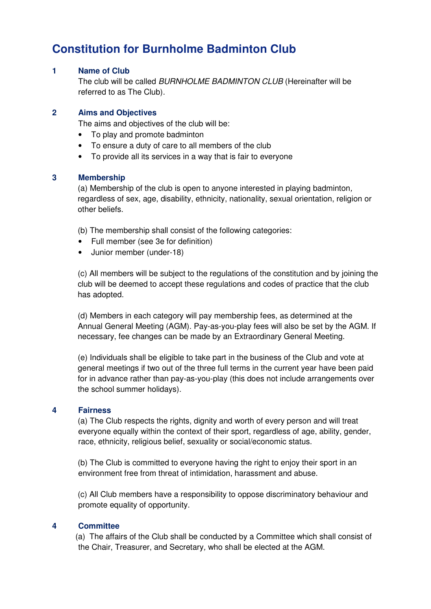# **Constitution for Burnholme Badminton Club**

# **1 Name of Club**

The club will be called BURNHOLME BADMINTON CLUB (Hereinafter will be referred to as The Club).

### **2 Aims and Objectives**

The aims and objectives of the club will be:

- To play and promote badminton
- To ensure a duty of care to all members of the club
- To provide all its services in a way that is fair to everyone

## **3 Membership**

(a) Membership of the club is open to anyone interested in playing badminton, regardless of sex, age, disability, ethnicity, nationality, sexual orientation, religion or other beliefs.

(b) The membership shall consist of the following categories:

- Full member (see 3e for definition)
- Junior member (under-18)

(c) All members will be subject to the regulations of the constitution and by joining the club will be deemed to accept these regulations and codes of practice that the club has adopted.

(d) Members in each category will pay membership fees, as determined at the Annual General Meeting (AGM). Pay-as-you-play fees will also be set by the AGM. If necessary, fee changes can be made by an Extraordinary General Meeting.

(e) Individuals shall be eligible to take part in the business of the Club and vote at general meetings if two out of the three full terms in the current year have been paid for in advance rather than pay-as-you-play (this does not include arrangements over the school summer holidays).

#### **4 Fairness**

(a) The Club respects the rights, dignity and worth of every person and will treat everyone equally within the context of their sport, regardless of age, ability, gender, race, ethnicity, religious belief, sexuality or social/economic status.

(b) The Club is committed to everyone having the right to enjoy their sport in an environment free from threat of intimidation, harassment and abuse.

(c) All Club members have a responsibility to oppose discriminatory behaviour and promote equality of opportunity.

## **4 Committee**

(a) The affairs of the Club shall be conducted by a Committee which shall consist of the Chair, Treasurer, and Secretary, who shall be elected at the AGM.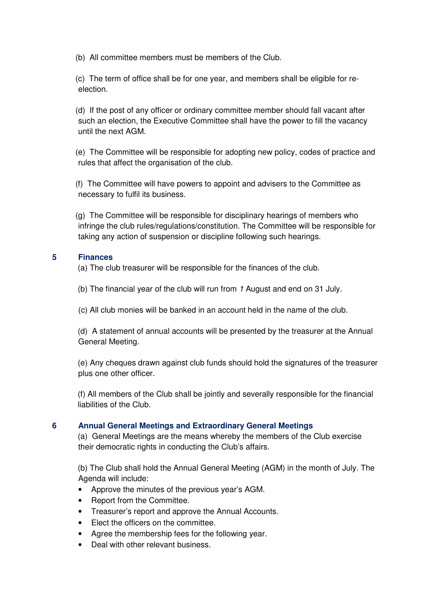(b) All committee members must be members of the Club.

(c) The term of office shall be for one year, and members shall be eligible for reelection.

(d) If the post of any officer or ordinary committee member should fall vacant after such an election, the Executive Committee shall have the power to fill the vacancy until the next AGM.

(e) The Committee will be responsible for adopting new policy, codes of practice and rules that affect the organisation of the club.

(f) The Committee will have powers to appoint and advisers to the Committee as necessary to fulfil its business.

(g) The Committee will be responsible for disciplinary hearings of members who infringe the club rules/regulations/constitution. The Committee will be responsible for taking any action of suspension or discipline following such hearings.

# **5 Finances**

(a) The club treasurer will be responsible for the finances of the club.

- (b) The financial year of the club will run from 1 August and end on 31 July.
- (c) All club monies will be banked in an account held in the name of the club.

(d) A statement of annual accounts will be presented by the treasurer at the Annual General Meeting.

(e) Any cheques drawn against club funds should hold the signatures of the treasurer plus one other officer.

(f) All members of the Club shall be jointly and severally responsible for the financial liabilities of the Club.

# **6 Annual General Meetings and Extraordinary General Meetings**

(a) General Meetings are the means whereby the members of the Club exercise their democratic rights in conducting the Club's affairs.

(b) The Club shall hold the Annual General Meeting (AGM) in the month of July. The Agenda will include:

- Approve the minutes of the previous year's AGM.
- Report from the Committee.
- Treasurer's report and approve the Annual Accounts.
- Elect the officers on the committee.
- Agree the membership fees for the following year.
- Deal with other relevant business.